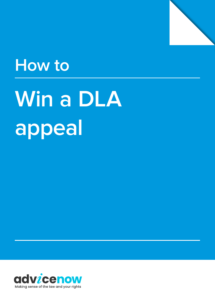

# **How to**

# **Win a DLA appeal**

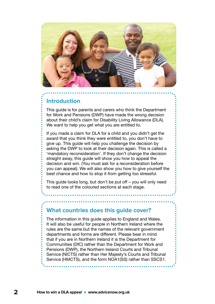

#### **Introduction**

This guide is for parents and carers who think the Department for Work and Pensions (DWP) have made the wrong decision about their child's claim for Disability Living Allowance (DLA). We want to help you get what you are entitled to.

If you made a claim for DLA for a child and you didn't get the award that you think they were entitled to, you don't have to give up. This guide will help you challenge the decision by asking the DWP to look at their decision again. This is called a 'mandatory reconsideration'. If they don't change the decision straight away, this guide will show you how to appeal the decision and win. (You must ask for a reconsideration before you can appeal). We will also show you how to give yourself the best chance and how to stop it from getting too stressful.

This guide looks long, but don't be put off – you will only need to read one of the coloured sections at each stage.

#### **What countries does this guide cover?**

The information in this guide applies to England and Wales. It will also be useful for people in Northern Ireland where the rules are the same but the names of the relevant government departments and forms are different. Please bear in mind that if you are in Northern Ireland it is the Department for Communities (DfC) rather than the Department for Work and Pensions (DWP), the Northern Ireland Courts and Tribunal Service (NICTS) rather than Her Majesty's Courts and Tribunal Service (HMCTS), and the form NOA1(SS) rather than SSCS1.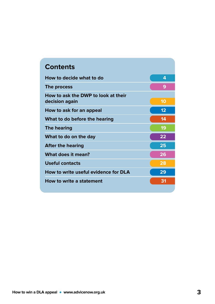| <b>Contents</b>                                       |    |  |
|-------------------------------------------------------|----|--|
| How to decide what to do                              | 4  |  |
| The process                                           | 9  |  |
| How to ask the DWP to look at their<br>decision again | 10 |  |
| How to ask for an appeal                              | 12 |  |
| What to do before the hearing                         | 14 |  |
| <b>The hearing</b>                                    | 19 |  |
| What to do on the day                                 | 22 |  |
| <b>After the hearing</b>                              | 25 |  |
| What does it mean?                                    | 26 |  |
| <b>Useful contacts</b>                                | 28 |  |
| How to write useful evidence for DLA                  | 29 |  |
| How to write a statement                              | 31 |  |
|                                                       |    |  |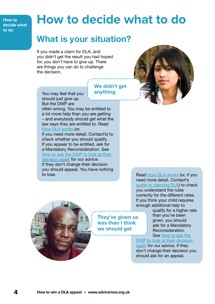<span id="page-3-0"></span>**How to decide what to do**

# **How to decide what to do**

**We didn't get** 

**They've given us less than I think we should get**

**anything**

### What is your situation?

If you made a claim for DLA, and you didn't get the result you had hoped for, you don't have to give up. There are things you can do to challenge the decision.



You may feel that you should just give up. But the DWP are

often wrong. You may be entitled to a lot more help than you are getting – and everybody should get what the law says they are entitled to. Read [How DLA works](#page-6-0) (or,

if you need more detail, Contact's) to check whether you should qualify. If you appear to be entitled, ask for a Mandatory Reconsideration. See [How to ask the DWP to look at their](#page-9-0)  [decision again](#page-9-0) for our advice. If they don't change their decision you should appeal. You have nothing to lose.



Read [How DLA works](#page-6-0) (or, if you need more detail, Contact's [guide to claiming DLA\)](https://contact.org.uk/advice-and-support/benefits-financial-help/benefits-and-tax-credits/disability-living-allowance/) to check you understand the rules correctly for the different rates. If you think your child requires enough additional help to

> qualify for a higher rate than you've been given, you should ask for a Mandatory Reconsideration. See [How to ask the](#page-9-0)

[DWP to look at their decision](#page-9-0) 

[again](#page-9-0) for our advice. If they don't change their decision you should ask for an appeal.

**4 How to win a DLA appeal • www.advicenow.org.uk**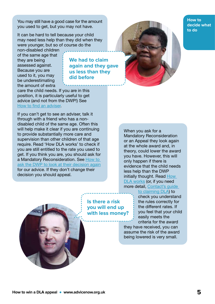You may still have a good case for the amount you used to get, but you may not have.

It can be hard to tell because your child may need less help than they did when they were younger, but so of course do the

non-disabled children of the same age that they are being assessed against. Because you are used to it, you may be underestimating the amount of extra

**We had to claim again and they gave us less than they did before**

care the child needs. If you are in this position, it is particularly useful to get advice (and not from the DWP!) [See](#page-5-0)  [How to find an adviser.](#page-5-0)

If you can't get to see an adviser, talk it through with a friend who has a nondisabled child of the same age. Often this will help make it clear if you are continuing to provide substantially more care and supervision than other children of that age require. Read 'How DLA works' to check if you are still entitled to the rate you used to get. If you think you are, you should ask for a Mandatory Reconsideration. See How to [ask the DWP to look at their decision again](#page-9-0) for our advice. If they don't change their decision you should appeal.



**How to decide what to do**

When you ask for a Mandatory Reconsideration or an Appeal they look again at the whole award and, in theory, could lower the award you have. However, this will only happen if there is evidence that the child needs less help than the DWP initially thought. Read [How](#page-6-0)  [DLA works](#page-6-0) (or, if you need more detail, [Contact's guide](https://contact.org.uk/advice-and-support/benefits-financial-help/benefits-and-tax-credits/disability-living-allowance/) 

#### [to claiming DLA\)](https://contact.org.uk/advice-and-support/benefits-financial-help/benefits-and-tax-credits/disability-living-allowance/) to

**Is there a risk you will end up with less money?**

check you understand the rules correctly for the different rates. If you feel that your child easily meets the criteria for the award

they have received, you can assume the risk of the award being lowered is very small.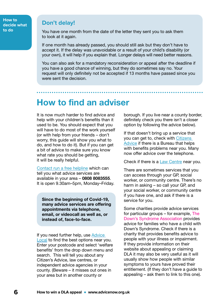<span id="page-5-0"></span>**How to decide what to do**

#### **Don't delay!**

You have one month from the date of the letter they sent you to ask them to look at it again.

If one month has already passed, you should still ask but they don't have to accept it. If the delay was unavoidable or a result of your child's disability (or your own), it will help if you explain that. Longer delays will need better reasons.

You can also ask for a mandatory reconsideration or appeal after the deadline if you have a good chance of winning, but they do sometimes say no. Your request will only definitely not be accepted if 13 months have passed since you were sent the decision.

### How to find an adviser

It is now much harder to find advice and help with your children's benefits than it used to be. You should expect that you will have to do most of the work yourself (or with help from your friends – don't worry, this guide will show you what to do, and how to do it). But if you can get a bit of advice to make sure you know what rate you should be getting, it will be really helpful.

[Contact run a free helpline](https://contact.org.uk/help-for-families/information-advice-services/get-in-touch/our-helpline/) which can tell you what advice services are available in your area – 0808 8083555. It is open 9.30am–5pm, Monday–Friday.

Since the beginning of Covid-19, many advice services are offering appointments via telephone, email, or videocall as well as, or instead of, face-to-face.

If you need further help, use [Advice](https://advicelocal.uk)  [Local](https://advicelocal.uk) to find the best options near you. Enter your postcode and select 'welfare benefits' from the drop down menu and search. This will tell you about any Citizen's Advice, law centres, or independent advice agencies in your county. (Beware – it misses out ones in your area but in another county or

borough. If you live near a county border, definitely check you there isn't a closer option by following the advice below).

If that doesn't bring up a service that you can get to, check with [Citizens](https://www.citizensadvice.org.uk)  [Advice](https://www.citizensadvice.org.uk) if there is a Bureau that helps with benefits problems near you. Many now offer advice over the telephone.

Check if there is a **[Law Centre](https://www.lawcentres.org.uk) near you**.

There are sometimes services that you can access through your GP, social worker, or community centre. There's no harm in asking – so call your GP, and your social worker, or community centre if you have one, and ask if there is a service for you.

Some charities provide advice services for particular groups – for example, The Down's Syndrome Association provides advice for families who have a child with Down's Syndrome. Check if there is a charity that provides benefits advice to people with your illness or impairment. If they provide information on their website about appealing or claiming DLA it may also be very useful as it will usually show how people with similar symptoms to yours have proved their entitlement. (If they don't have a guide to appealing – ask them to link to this one).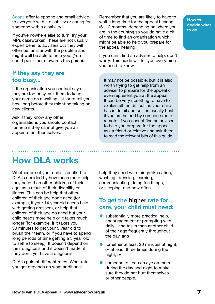<span id="page-6-0"></span>[Scope](https://www.scope.org.uk/helpline/) offer telephone and email advice to everyone with a disability or caring for someone with a disability.

If you've nowhere else to turn, try your MPs caseworker. These are not usually expert benefits advisers but they will often be familiar with the problem and might well be able to help you. (You could point them towards this guide).

#### **If they say they are too busy…**

If the organisation you contact says they are too busy, ask them to keep your name on a waiting list, or to tell you how long before they might be taking on new clients.

Ask if they know any other organisations you should contact for help if they cannot give you an appointment themselves.

Remember that you are likely to have to wait a long time for the appeal hearing (6 -12 months, depending on where you are in the country) so you do have a bit of time to find an organisation which might be able to help you prepare for the appeal hearing.

If you can't find an adviser to help, don't worry. This guide will tell you everything you need to know.

It may not be possible, but it is also worth trying to get help from an adviser to prepare for the appeal or even represent you at the appeal. It can be very upsetting to have to explain all the difficulties your child has in detail and so it is usually best if you are helped by someone more remote. If you cannot find an adviser to help you prepare for the appeal, ask a friend or relative and ask them to read the relevant bits of this guide.

**How to decide what to do**

### How DLA works

Whether or not your child is entitled to DLA is decided by how much more help they need than other children of their age, as a result of their disability or illness. This can be help that other children of their age don't need (for example, if your 14 year old needs help with getting dressed), or help that children of their age do need but your child needs more help or it takes much longer (for example, if it takes you 30 minutes to get your 5 year old to brush their teeth, or if you have to spend long periods of time getting a 3 year old to settle to sleep). It doesn't depend on their diagnosis and it doesn't matter if they don't yet have a diagnosis.

DLA is paid at different rates. What rate you get depends on what additional

help they need with things like eating. washing, dressing, learning, communicating, doing fun things, or sleeping, and how often.

#### **To get the higher rate for care, your child must need:**

- substantially more practical help. encouragement or prompting with daily living tasks than another child of their age frequently throughout the day, *and*
- for either at least 20 minutes at night, *or* at least three times during the night, *or*
- someone to keep an eye on them during the day and night to make sure they do not hurt themselves or other people.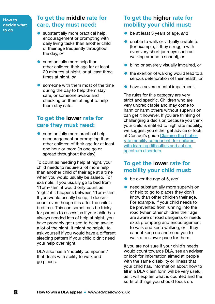**How to decide what to do**

#### **To get the middle rate for care, they must need:**

- substantially more practical help, encouragement or prompting with daily living tasks than another child of their age frequently throughout the day, *or*
- substantially more help than other children their age for at least 20 minutes at night, or at least three times at night, *or*
- someone with them most of the time during the day to help them stay safe, or someone awake and checking on them at night to help them stay safe.

#### **To get the lower rate for care they must need:**

• substantially more practical help, encouragement or prompting than other children of their age for at least one hour or more (in one go or spread throughout the day).

To count as needing help at night, your child needs to require a lot more help than another child of their age at a time when you would usually be asleep. For example, if you usually go to bed from 11pm–7am, it would only count as 'night' if it happens between 11pm–7am. If you would usually be up, it doesn't count even though it is after the child's bedtime. This can sometimes be tricky for parents to assess as if your child has always needed lots of help at night, you have probably got used to being awake a lot of the night. It might be helpful to ask yourself if you would have a different sleeping pattern if your child didn't need your help over night.

DLA also has a 'mobility component' that deals with ability to walk and go places.

#### **To get the higher rate for mobility your child must:**

- be at least 3 years of age, *and*
- unable to walk or virtually unable to (for example, if they struggle with even very short journeys such as walking around a school), *or*
- blind or severely visually impaired, *or*
- the exertion of walking would lead to a serious deterioration of their health, *or*
- **•** have a severe mental impairment.

The rules for this category are very strict and specific. Children who are very unpredictable and may come to harm or harm others without supervision can get it however. If you are thinking of challenging a decision because you think your child is entitled to high rate mobility, we suggest you either get advice or look at Contact's quide Claiming the higher [rate mobility component for children](https://contact.org.uk/wp-content/uploads/2021/03/dla_for_children_with_autism_and_learning_difficulties.pdf)  with learning difficulties and autism [spectrum disorders.](https://contact.org.uk/wp-content/uploads/2021/03/dla_for_children_with_autism_and_learning_difficulties.pdf)

#### **To get the lower rate for mobility your child must:**

- be over the age of 5, *and*
- need substantially more supervision or help to go to places they don't know than other children their age. For example, if your child needs to be prevented from running into the road (when other children their age are aware of road dangers), or needs extra prompting and encouragement to walk and keep walking, or if they cannot keep up and need you to walk at a slower pace for them.

If you are not sure if your child's needs would count towards DLA, see an adviser or look for information aimed at people with the same disability or illness that your child has. Information about how to fill in a DLA claim form will be very useful, as it will explain what is counted and the sorts of things you should focus on.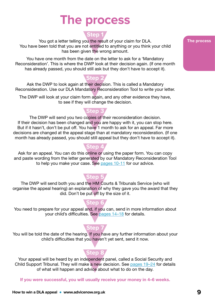# **The process**

#### **Step 1**

<span id="page-8-0"></span>You got a letter telling you the result of your claim for DLA. You have been told that you are not entitled to anything or you think your child has been given the wrong amount.

You have one month from the date on the letter to ask for a 'Mandatory Reconsideration'. This is where the DWP look at their decision again. (If one month has already passed, you should still ask but they don't have to accept it).

#### **Step 2**

Ask the DWP to look again at their decision. This is called a Mandatory Reconsideration. Use our DLA Mandatory Reconsideration Tool to write your letter.

The DWP will look at your claim form again, and any other evidence they have, to see if they will change the decision.

#### **Step 3**

The DWP will send you two copies of their reconsideration decision. If their decision has been changed and you are happy with it, you can stop here. But if it hasn't, don't be put off. You have 1 month to ask for an appeal. Far more decisions are changed at the appeal stage than at mandatory reconsideration. (If one month has already passed, you should still appeal but they don't have to accept it).

#### **Step 4**

Ask for an appeal. You can do this online or using the paper form. You can copy and paste wording from the letter generated by our Mandatory Reconsideration Tool to help you make your case. See [pages 10-11](#page-9-0) for our advice.

#### **Step 5**

The DWP will send both you and the HM Courts & Tribunals Service (who will organise the appeal hearing) an explanation of why they gave you the award that they did. Don't be put off by the size of it.

#### **Step 6**

You need to prepare for your appeal and, if you can, send in more information about your child's difficulties. See pages 14-18 for details.

### **Step 7**

You will be told the date of the hearing. If you have any further information about your child's difficulties that you haven't yet sent, send it now.

#### **Step 8**

Your appeal will be heard by an independent panel, called a Social Security and Child Support Tribunal. They will make a new decision. See [pages 19–24](#page-18-0) for details of what will happen and advice about what to do on the day.

If you were successful, you will usually receive your money in 4–6 weeks.

#### **The process**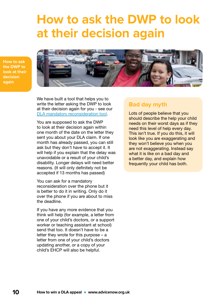### <span id="page-9-0"></span>**How to ask the DWP to look at their decision again**

**How to ask the DWP to look at their decision again**



We have built a tool that helps you to write the letter asking the DWP to look at their decision again for you - see our [DLA mandatory reconsideration tool.](https://www.advicenow.org.uk/dla-tool)

You are supposed to ask the DWP to look at their decision again within one month of the date on the letter they sent you about your DLA claim. If one month has already passed, you can still ask but they don't have to accept it. It will help if you explain that the delay was unavoidable or a result of your child's disability. Longer delays will need better reasons. (It will only definitely not be accepted if 13 months has passed)

You can ask for a mandatory reconsideration over the phone but it is better to do it in writing. Only do it over the phone if you are about to miss the deadline.

If you have any more evidence that you think will help (for example, a letter from one of your child's doctors, or a support worker or teaching assistant at school) send that too. It doesn't have to be a letter they wrote for this purpose – a letter from one of your child's doctors updating another, or a copy of your child's EHCP will also be helpful.

#### **Bad day myth**

Lots of people believe that you should describe the help your child needs on their worst days as if they need this level of help every day. This isn't true. If you do this, it will look like you are exaggerating and they won't believe you when you are not exaggerating. Instead say what it is like on a bad day and a better day, and explain how frequently your child has both.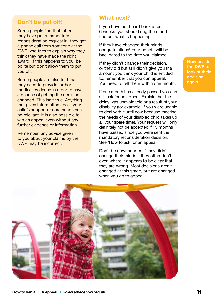#### **Don't be put off!**

Some people find that, after they have put a mandatory reconsideration request in, they get a phone call from someone at the DWP who tries to explain why they think they have made the right award. If this happens to you, be polite but don't allow them to put you off.

Some people are also told that they need to provide further medical evidence in order to have a chance of getting the decision changed. This isn't true. Anything that gives information about your child's support or care needs can be relevant. It is also possible to win an appeal even without any further evidence or information.

Remember, any advice given to you about your claims by the DWP may be incorrect.

#### **What next?**

If you have not heard back after 6 weeks, you should ring them and find out what is happening.

If they have changed their minds, congratulations! Your benefit will be backdated to the date you claimed.

If they didn't change their decision, or they did but still didn't give you the amount you think your child is entitled to, remember that you can appeal. You need to tell them within one month.

If one month has already passed you can still ask for an appeal. Explain that the delay was unavoidable or a result of your disability (for example, if you were unable to deal with it until now because meeting the needs of your disabled child takes up all your spare time). Your request will only definitely not be accepted if 13 months have passed since you were sent the mandatory reconsideration decision. See 'How to ask for an appeal'.

Don't be downhearted if they didn't change their minds – they often don't, even where it appears to be clear that they are wrong. Most decisions aren't changed at this stage, but are changed when you go to appeal.

**How to ask the DWP to look at their decision again**

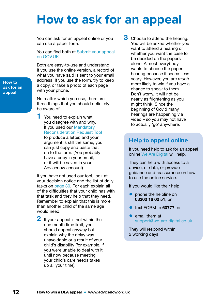### <span id="page-11-0"></span>**How to ask for an appeal**

You can ask for an appeal online or you can use a paper form.

You can find both at Submit your appeal [on GOV.UK](http://www.gov.uk/appeal-benefit-decision/submit-appeal)

Both are easy-to-use and understand. If you use the online version, a record of what you have said is sent to your email address. If you use the form, try to keep a copy, or take a photo of each page with your phone.

No matter which you use, there are three things that you should definitely be aware of.

1 You need to explain what you disagree with and why. If you used our [Mandatory](https://www.advicenow.org.uk/dla-tool)  [Reconsideration Request Tool](https://www.advicenow.org.uk/dla-tool) to produce a letter, and your argument is still the same, you can just copy and paste that on to the form. (You probably have a copy in your email, or it will be saved in your Advicenow account).

If you have not used our tool, look at your decision notice and the list of daily tasks on [page 30](#page-29-0). For each explain all of the difficulties that your child has with that task and they help that they need. Remember to explain that this is more than another child of the same age would need.

2 If your appeal is not within the one month time limit, you should appeal anyway but explain why the delay was unavoidable or a result of your child's disability (for example, if you were unable to deal with it until now because meeting your child's care needs takes up all your time).

**3** Choose to attend the hearing. You will be asked whether you want to attend a hearing or whether you want the case to be decided on the papers alone. Almost everybody wants to choose the paper hearing because it seems less scary. However, you are *much* more likely to win if you have a chance to speak to them. Don't worry, it will not be nearly as frightening as you might think. Since the beginning of Covid many hearings are happening via video – so you may not have to actually 'go' anywhere.

#### **Help to appeal online**

If you need help to ask for an appeal online [We Are Digital](https://www.we-are-digital.co.uk/hmcts-user) will help.

They can help with access to a device, or data, or provide guidance and reassurance on how to use the online service.

If you would like their help

- phone the helpline on 03300 16 00 51, or
- text FORM to 60777, or
- email them at [support@we-are-digital.co.uk](mailto:support%40we-are-digital.co.uk?subject=)

They will respond within 2 working days.

**How to ask for an appeal**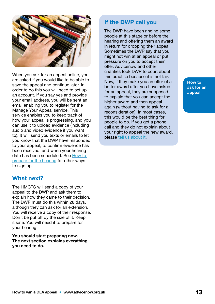

When you ask for an appeal online, you are asked if you would like to be able to save the appeal and continue later. In order to do this you will need to set up an account. If you say yes and provide your email address, you will be sent an email enabling you to register for the Manage Your Appeal service. This service enables you to keep track of how your appeal is progressing, and you can use it to upload evidence (including audio and video evidence if you want to). It will send you texts or emails to let you know that the DWP have responded to your appeal, to confirm evidence has been received, and when your hearing date has been scheduled. See [How to](#page-13-0)  [prepare for the hearing](#page-13-0) for other ways to sign up.

#### **What next?**

The HMCTS will send a copy of your appeal to the DWP and ask them to explain how they came to their decision. The DWP must do this within 28 days, although they can ask for an extension. You will receive a copy of their response. Don't be put off by the size of it. Keep it safe. You will need it to prepare for your hearing.

You should start preparing now. The next section explains everything you need to do.

#### **If the DWP call you**

The DWP have been ringing some people at this stage or before the hearing and offering them an award in return for dropping their appeal. Sometimes the DWP say that you might not win at an appeal or put pressure on you to accept their offer. Advicenow and other charities took DWP to court about this practise because it is not fair. Now, if they make you an offer of a better award after you have asked for an appeal, they are supposed to explain that you can accept the higher award and then appeal again (without having to ask for a reconsideration). In most cases, this would be the best thing for people to do. If you get a phone call and they do not explain about your right to appeal the new award, please [tell us about it](https://www.surveymonkey.co.uk/r/BVTZPG3).

**How to ask for an appeal**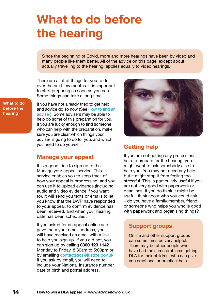# <span id="page-13-0"></span>**What to do before the hearing**

Since the beginning of Covid, more and more hearings have been by video and many people like them better. All of the advice on this page, except about actually travelling to the hearing, applies equally to video hearings.

There are a lot of things for you to do over the next few months. It is important to start preparing as soon as you can. Some things can take a long time.

**What to do before the hearing**

If you have not already tried to get help and advice do so now [\(See How to find an](#page-5-0) [adviser\)](#page-5-0). Some advisers may be able to help do some of this preparation for you. If you are lucky enough to find someone who can help with the preparation, make sure you are clear which things your adviser is going to do for you, and which you need to do yourself.

#### **Manage your appeal**

It is a good idea to sign up to the Manage your appeal service. This service enables you to keep track of how your appeal is progressing, and you can use it to upload evidence (including audio and video evidence if you want to). It will send you texts or emails to let you know that the DWP have responded to your appeal, to confirm evidence has been received, and when your hearing date has been scheduled.

If you asked for an appeal online and gave them your email address, you will have received an email with a link to help you sign up. If you did not, you can sign up by calling 0300 123 1142 Monday to Friday, 8:30am to 5:00pm or by emailing [contactsscs@justice.gov.uk](mailto:contactsscs%40justice.gov.uk?subject=). If you ask by email, you will need to include your National Insurance number, date of birth and postal address.



#### **Getting help**

If you are not getting any professional help to prepare for the hearing, you might want to ask somebody else to help you. You may not need any help, but it might stop it from feeling too stressful. This is particularly useful if you are not very good with paperwork or deadlines. If you do think it might be useful, think about who you could ask – do you have a family member, friend, or someone who helps you who is good with paperwork and organising things?

#### **Support groups**

Online and other support groups can sometimes be very helpful. There may be other people who have had the same problems getting DLA for their children, who can give you emotional or practical help.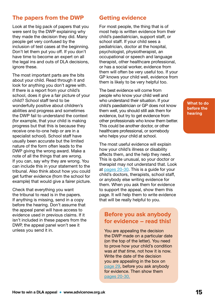#### **The papers from the DWP**

Look at the big pack of papers that you were sent by the DWP explaining why they made the decision they did. Many people get very confused by the inclusion of test cases at the beginning. Don't let them put you off. If you don't have time to become an expert on all the legal ins and outs of DLA decisions, ignore these.

The most important parts are the bits about your child. Read through it and look for anything you don't agree with. If there is a report from your child's school, does it give a fair picture of your child? School staff tend to be wonderfully positive about children's abilities and progress and sometimes the DWP fail to understand the context (for example, that your child is making progress but that this is because they receive one-to-one help or are in a specialist school). School staff have usually been accurate but the limited nature of the form often leads to the DWP giving the wrong award. Make a note of all the things that are wrong. If you can, say why they are wrong. You can include this in your statement to the tribunal. Also think about how you could get further evidence (from the school for example) that would give a fairer picture.

Check that everything you want the tribunal to read is in the papers. If anything is missing, send in a copy before the hearing. Don't assume that the appeal panel will have access to evidence used in previous claims. If it isn't included in these papers from the DWP, the appeal panel won't see it unless you send it in.

#### **Getting evidence**

For most people, the thing that is of most help is written evidence from their child's paediatrician, support staff, or school staff. If your child sees a pediatrician, doctor at the hospital, psychologist, physiotherapist, an occupational or speech and language therapist, other healthcare professional, or has a social worker, evidence from them will often be very useful too. If your GP knows your child well, evidence from them is likely to be very helpful too.

The best evidence will come from people who know your child well and who understand their situation. If your child's paediatrician or GP does not know them well, you should still ask them for evidence, but try to get evidence from other professionals who know them better. This could be another doctor, or other healthcare professional, or somebody who helps your child at school.

The most useful evidence will explain how your child's illness or disability affects them, and the help they need. This is quite unusual, so your doctor or therapist may not understand that. Look at [pages 20-30](#page-19-0). This is a guide for your child's doctors, therapists, school staff, or anybody else writing evidence for them. When you ask them for evidence to support the appeal, show them this page. It will help them to write evidence that will be really helpful to you.

#### **Before you ask anybody for evidence – read this!**

You are appealing the decision the DWP made on a particular date (on the top of the letter). You need to prove how your child's condition was *at that time*, not how it is now. Write the date of the decision you are appealing in the box on [page](#page-28-0) 29, before you ask anybody for evidence. Then show them [pages 20-30.](#page-19-0)

**What to do before the hearing**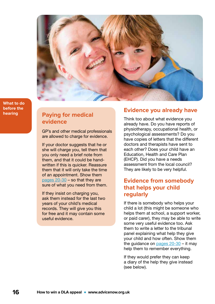

**What to do before the hearing**

#### **Paying for medical evidence**

GP's and other medical professionals are allowed to charge for evidence.

If your doctor suggests that he or she will charge you, tell them that you only need a brief note from them, and that it could be handwritten if this is quicker. Reassure them that it will only take the time of an appointment. Show them [pages 20-30](#page-19-0) – so that they are sure of what you need from them.

If they insist on charging you, ask them instead for the last two years of your child's medical records. They will give you this for free and it may contain some useful evidence.

#### **Evidence you already have**

Think too about what evidence you already have. Do you have reports of physiotherapy, occupational health, or psychological assessments? Do you have copies of letters that the different doctors and therapists have sent to each other? Does your child have an Education, Health and Care Plan (EHCP). Did you have a needs assessment from the local council? They are likely to be very helpful.

#### **Evidence from somebody that helps your child regularly**

If there is somebody who helps your child a lot (this might be someone who helps them at school, a support worker, or paid carer), they may be able to write some very useful evidence too. Ask them to write a letter to the tribunal panel explaining what help they give your child and how often. Show them the guidance on [pages 20-30](#page-19-0) – it may help them to remember everything.

If they would prefer they can keep a diary of the help they give instead (see below).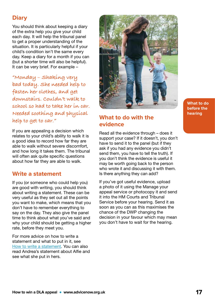#### **Diary**

You should think about keeping a diary of the extra help you give your child each day. It will help the tribunal panel to get a proper understanding of the situation. It is particularly helpful if your child's condition isn't the same every day. Keep a diary for a month if you can (but a shorter time will also be helpful). It can be very brief. For example –

**"Monday – Shaking very bad today. She needed help to fasten her clothes, and get downstairs. Couldn't walk to school so had to take her in car. Needed soothing and physical help to get to car."**

If you are appealing a decision which relates to your child's ability to walk it is a good idea to record how far they are able to walk without severe discomfort, and how long it takes them. The tribunal will often ask quite specific questions about how far they are able to walk.

#### **Write a statement**

If you (or someone who could help you) are good with writing, you should think about writing a statement. These can be very useful as they set out all the points you want to make, which means that you don't have to remember everything to say on the day. They also give the panel time to think about what you've said and why your child should be getting a higher rate, before they meet you.

For more advice on how to write a statement and what to put in it, see [How to write a statement.](#page-30-0) You can also read Andrea's statement about Alfie and see what she put in hers.



#### **What to do with the evidence**

Read all the evidence through – does it support your case? If it doesn't, you don't have to send it to the panel (but if they ask if you had any evidence you didn't send them, you have to tell the truth). If you don't think the evidence is useful it may be worth going back to the person who wrote it and discussing it with them. Is there anything they can add?

If you've got useful evidence, upload a photo of it using the Manage your appeal service or photocopy it and send it into the HM Courts and Tribunal Service before your hearing. Send it as soon as you can as this maximises the chance of the DWP changing the decision in your favour which may mean you don't have to wait for the hearing.

**What to do before the hearing**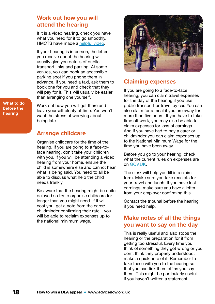#### <span id="page-17-0"></span>**Work out how you will attend the hearing**

If it is a video hearing, check you have what you need for it to go smoothly. HMCTS have made a [helpful video](https://youtu.be/Sd0ldV2GKcY).

If your hearing is in person, the letter you receive about the hearing will usually give you details of public transport links and parking. At some venues, you can book an accessible parking spot if you phone them in advance. If you need a taxi, ask them to book one for you and check that they will pay for it. This will usually be easier than arranging one yourself.

Work out how you will get there and leave yourself plenty of time. You won't want the stress of worrying about being late.

#### **Arrange childcare**

Organise childcare for the time of the hearing. If you are going to a face-toface hearing, don't take your children with you. If you will be attending a video hearing from your home, ensure the child is somewhere else and cannot hear what is being said. You need to all be able to discuss what help the child needs frankly.

Be aware that the hearing might be quite delayed so try to organise childcare for longer than you might need. If it will cost you, get a note from the carer/ childminder confirming their rate – you will be able to reclaim expenses up to the national minimum wage.



#### **Claiming expenses**

If you are going to a face-to-face hearing, you can claim travel expenses for the day of the hearing if you use public transport or travel by car. You can also claim for a meal if you are away for more than five hours. If you have to take time off work, you may also be able to claim expenses for loss of earnings. And if you have had to pay a carer or childminder you can claim expenses up to the National Minimum Wage for the time you have been away.

Before you go to your hearing, check what the current rules on expenses are on [GOV.UK.](https://www.gov.uk/appeal-benefit-decision/at-the-hearing)

The clerk will help you fill in a claim form. Make sure you take receipts for your travel and lunch. If you have lost earnings, make sure you have a letter from your employer confirming this.

Contact the tribunal before the hearing if you need help.

#### **Make notes of all the things you want to say on the day**

This is really useful and also stops the hearing or the preparation for it from getting too stressful. Every time you think of something they got wrong or you don't think they properly understood, make a quick note of it. Remember to take these with you to the hearing so that you can tick them off as you say them. This might be particularly useful if you haven't written a statement.

**What to do before the hearing**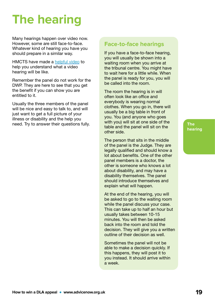# <span id="page-18-0"></span>**The hearing**

Many hearings happen over video now. However, some are still face-to-face. Whatever kind of hearing you have you should prepare in a similar way.

HMCTS have made a [helpful video](https://youtu.be/Sd0ldV2GKcY) to help you understand what a video hearing will be like.

Remember the panel do not work for the DWP. They are here to see that you get the benefit if you can show you are entitled to it.

Usually the three members of the panel will be nice and easy to talk to, and will just want to get a full picture of your illness or disability and the help you need. Try to answer their questions fully.

#### **Face-to-face hearings**

If you have a face-to-face hearing, you will usually be shown into a waiting room when you arrive at the tribunal centre. You might have to wait here for a little while. When the panel is ready for you, you will be called into the room.

The room the hearing is in will often look like an office and everybody is wearing normal clothes. When you go in, there will usually be a big table in front of you. You (and anyone who goes with you) will sit at one side of the table and the panel will sit on the other side.

The person that sits in the middle of the panel is the Judge. They are legally qualified and should know a lot about benefits. One of the other panel members is a doctor, the other is someone who knows a lot about disability, and may have a disability themselves. The panel should introduce themselves and explain what will happen.

At the end of the hearing, you will be asked to go to the waiting room while the panel discuss your case. This can take up to half an hour but usually takes between 10-15 minutes. You will then be asked back into the room and told the decision. They will give you a written outline of their decision as well.

Sometimes the panel will not be able to make a decision quickly. If this happens, they will post it to you instead. It should arrive within a week.

**The hearing**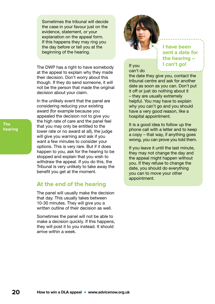<span id="page-19-0"></span>Sometimes the tribunal will decide the case in your fayour just on the evidence, statement, or your explanation on the appeal form. If this happens they may ring you the day before or tell you at the beginning of the hearing.

The DWP has a right to have somebody at the appeal to explain why they made their decision. Don't worry about this though. If they do send someone, it will not be the person that made the original decision about your claim.

In the unlikely event that the panel are considering reducing your existing award (for example because you appealed the decision not to give you the high rate of care and the panel feel that you may only be entitled to the lower rate or no award at all), the judge will give you warning and ask if you want a few minutes to consider your options. This is very rare. But if it does happen to you, ask for the hearing to be stopped and explain that you wish to withdraw the appeal. If you do this, the Tribunal is very unlikely to take away the benefit you get at the moment.

#### **At the end of the hearing**

The panel will usually make the decision that day. This usually takes between 10-30 minutes. They will give you a written outline of their decision as well.

Sometimes the panel will not be able to make a decision quickly. If this happens, they will post it to you instead. It should arrive within a week.



**I have been sent a date for the hearing – I can't go!**

If you can't do

the date they give you, contact the tribunal centre and ask for another date as soon as you can. Don't put it off or just do nothing about it – they are usually extremely helpful. You may have to explain why you can't go and you should have a very good reason, like a hospital appointment.

It is a good idea to follow up the phone call with a letter and to keep a copy – that way, if anything goes wrong, you can prove you told them.

If you leave it until the last minute, they may not change the day and the appeal might happen without you. If they refuse to change the date, you should do everything you can to move your other appointment.

**The hearing**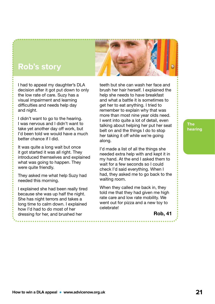### **Rob's story**

I had to appeal my daughter's DLA decision after it got put down to only the low rate of care. Suzy has a visual impairment and learning difficulties and needs help day and night.

I didn't want to go to the hearing. I was nervous and I didn't want to take yet another day off work, but I'd been told we would have a much better chance if I did.

It was quite a long wait but once it got started it was all right. They introduced themselves and explained what was going to happen. They were quite friendly.

They asked me what help Suzy had needed this morning.

I explained she had been really tired because she was up half the night. She has night terrors and takes a long time to calm down. I explained how I'd had to do most of her dressing for her, and brushed her

teeth but she can wash her face and

brush her hair herself. I explained the help she needs to have breakfast and what a battle it is sometimes to get her to eat anything. I tried to remember to explain why that was more than most nine year olds need. I went into quite a lot of detail, even talking about helping her put her seat belt on and the things I do to stop her taking it off while we're going along.

I'd made a list of all the things she needed extra help with and kept it in my hand. At the end I asked them to wait for a few seconds so I could check I'd said everything. When I had, they asked me to go back to the waiting room.

When they called me back in, they told me that they had given me high rate care and low rate mobility. We went out for pizza and a new toy to celebrate!

Rob, 41

**The hearing**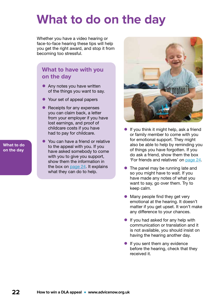# <span id="page-21-0"></span>**What to do on the day**

Whether you have a video hearing or face-to-face hearing these tips will help you get the right award, and stop it from becoming too stressful.

#### **What to have with you on the day**

- Any notes you have written of the things you want to say.
- Your set of appeal papers
- Receipts for any expenses you can claim back, a letter from your employer if you have lost earnings, and proof of childcare costs if you have had to pay for childcare[.](#page-17-0)
- You can have a friend or relative to the appeal with you. If you have asked somebody to come with you to give you support, show them the information in the box on [page 24](#page-23-0). It explains what they can do to help.



- If you think it might help, ask a friend or family member to come with you for emotional support. They might also be able to help by reminding you of things you have forgotten. If you do ask a friend, show them the box ['For friends and relatives' on page 24.](#page-23-0)
- The panel may be running late and so you might have to wait. If you have made any notes of what you want to say, go over them. Try to keep calm.
- Many people find they get very emotional at the hearing. It doesn't matter if you get upset. It won't make any difference to your chances.
- If you had asked for any help with communication or translation and it is not available, you should insist on having the hearing another day.
- **•** If you sent them any evidence before the hearing, check that they received it.

**What to do on the day**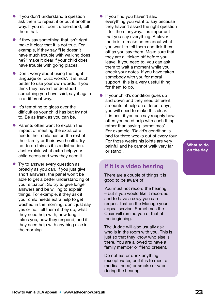- **•** If you don't understand a question ask them to repeat it or put it another way. If you still don't understand, tell them that.
- **•** If they say something that isn't right, make it clear that it is not true. For example, if they say "He doesn't have much trouble with walking does he?" make it clear if your child does have trouble with going places.
- Don't worry about using the 'right' language or 'buzz words'. It is much better to use your own words. If you think they haven't understood something you have said, say it again in a different way.
- **•** It's tempting to gloss over the difficulties your child has but try not to. Be as frank as you can be.
- Parents often want to explain the impact of meeting the extra care needs their child has on the rest of their family or their own health. Try not to do this as it is a distraction. Just explain what extra help your child needs and why they need it.
- Try to answer every question as broadly as you can. If you just give short answers, the panel won't be able to get a better understanding of your situation. So try to give longer answers and be willing to explain things. For example, if they ask if your child needs extra help to get washed in the morning, don't just say yes or no. Tell them if they do, what they need help with, how long it takes you, how they respond, and if they need help with anything else in the morning.
- **•** If you find you haven't said everything you want to say because they haven't asked the right question – tell them anyway. It is important that you say everything. A clever tactic is to make notes about what you want to tell them and tick them off as you say them. Make sure that they are all ticked off before you leave. If you need to, you can ask them to wait a moment while you check your notes. If you have taken somebody with you for moral support, this is a very useful thing for them to do.
- If your child's condition goes up and down and they need different amounts of help on different days, you will need to make this clear. It is best if you can say roughly how often you need help with each thing, rather than saying 'sometimes'. For example, 'David's condition is bad for three weeks out of every four. For those weeks his joints are very painful and he cannot walk very far or stand'.

#### **If it is a video hearing**

There are a couple of things it is good to be aware of.

You must not record the hearing – but if you would like it recorded and to have a copy you can request that on the Manage your appeal service. Sometimes the Chair will remind you of that at the beginning.

The Judge will also usually ask who is in the room with you. This is just so that they know who else is there. You are allowed to have a family member or friend present.

Do not eat or drink anything (except water, or if it is to meet a medical need) or smoke or vape during the hearing.

**What to do on the day**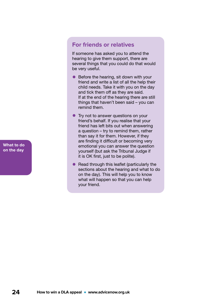<span id="page-23-0"></span>**For friends or relatives**

If someone has asked you to attend the hearing to give them support, there are several things that you could do that would be very useful.

- Before the hearing, sit down with your friend and write a list of all the help their child needs. Take it with you on the day and tick them off as they are said. If at the end of the hearing there are still things that haven't been said – you can remind them.
- Try not to answer questions on your friend's behalf. If you realise that your friend has left bits out when answering a question – try to remind them, rather than say it for them. However, if they are finding it difficult or becoming very emotional you can answer the question yourself (but ask the Tribunal Judge if it is OK first, just to be polite).
- Read through this leaflet (particularly the sections about the hearing and what to do on the day). This will help you to know what will happen so that you can help your friend.

**What to do on the day**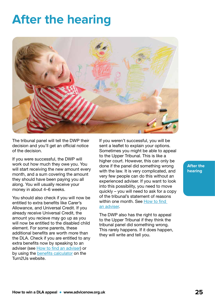# <span id="page-24-0"></span>**After the hearing**



The tribunal panel will tell the DWP their decision and you'll get an official notice of the decision.

If you were successful, the DWP will work out how much they owe you. You will start receiving the new amount every month, and a sum covering the amount they should have been paying you all along. You will usually receive your money in about 4–6 weeks.

You should also check if you will now be entitled to extra benefits like Carer's Allowance, and Universal Credit. If you already receive Universal Credit, the amount you recieve may go up as you will now be entitled to the disabled child element. For some parents, these additional benefits are worth more than the DLA. Check if you are entitled to any extra benefits now by speaking to an adviser (see [How to find an adviser\)](#page-5-0) or by using the [benefits calculator](https://www.turn2us.org.uk/Get-Support) on the Turn2Us website.

If you weren't successful, you will be sent a leaflet to explain your options. Sometimes you might be able to appeal to the Upper Tribunal. This is like a higher court. However, this can only be done if the panel did something wrong with the law. It is very complicated, and very few people can do this without an experienced adviser. If you want to look into this possibility, you need to move quickly – you will need to ask for a copy of the tribunal's statement of reasons within one month. [See How to find](#page-5-0)  [an adviser.](#page-5-0)

The DWP also has the right to appeal to the Upper Tribunal if they think the tribunal panel did something wrong. This rarely happens. If it does happen, they will write and tell you.

**After the hearing**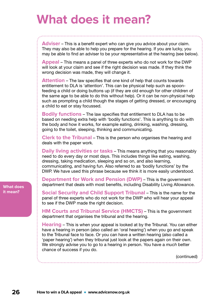# <span id="page-25-0"></span>**What does it mean?**

**Adviser** – This is a benefit expert who can give you advice about your claim. They may also be able to help you prepare for the hearing. If you are lucky, you may be able to find an adviser to be your representative at the hearing (see below).

**Appeal** – This means a panel of three experts who do not work for the DWP will look at your claim and see if the right decision was made. If they think the wrong decision was made, they will change it.

**Attention** – The law specifies that one kind of help that counts towards entitlement to DLA is 'attention'. This can be physical help such as spoonfeeding a child or doing buttons up (if they are old enough for other children of the same age to be able to do this without help). Or it can be non-physical help such as prompting a child though the stages of getting dressed, or encouraging a child to eat or stay focussed.

**Bodily functions** – The law specifies that entitlement to DLA has to be based on needing extra help with 'bodily functions'. This is anything to do with the body and how it works, for example eating, drinking, washing, dressing, going to the toilet, sleeping, thinking and communicating.

**Clerk to the Tribunal** – This is the person who organises the hearing and deals with the paper work.

**Daily living activities or tasks** – This means anything that you reasonably need to do every day or most days. This includes things like eating, washing, dressing, taking medication, sleeping and so on, and also learning, communicating, and having fun. Also referred to as 'bodily functions' by the DWP. We have used this phrase because we think it is more easily understood.

**Department for Work and Pension (DWP)** – This is the government department that deals with most benefits, including Disability Living Allowance.

**Social Security and Child Support Tribunal** – This is the name for the panel of three experts who do not work for the DWP who will hear your appeal to see if the DWP made the right decision.

**HM Courts and Tribunal Service (HMCTS)** – This is the government department that organises the tribunal and the hearing.

**Hearing** – This is when your appeal is looked at by the Tribunal. You can either have a hearing in person (also called an 'oral hearing') when you go and speak to the Tribunal face to face. Or you can have a written hearing (also called a 'paper hearing') when they tribunal just look at the papers again on their own. We strongly advise you to go to a hearing in person. You have a *much* better chance of success if you do.

(continued)

**What does it mean?**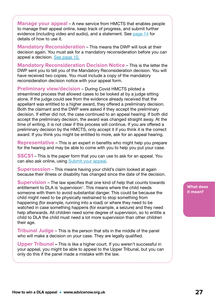**Manage your appeal** – A new service from HMCTS that enables people to manage their appeal online, keep track of progress, and submit further evidence (including video and audio), and a statement. See [page 14](#page-13-0) for details of how to use it.

**Mandatory Reconsideration** – This means the DWP will look at their decision again. You must ask for a mandatory reconsideration before you can appeal a decision. [See page 10.](#page-9-0)

**Mandatory Reconsideration Decision Notice** – This is the letter the DWP sent you to tell you of the Mandatory Reconsideration decision. You will have received two copies. You must include a copy of the mandatory reconsideration decision notice with your appeal form.

**Preliminary view/decision** – During Covid HMCTS piloted a streamlined process that allowed cases to be looked at by a judge sitting alone. If the judge could see from the evidence already received that the appellant was entitled to a higher award, they offered a preliminary decision. Both the claimant and the DWP were asked if they accept the preliminary decision. If either did not, the case continued to an appeal hearing. If both did accept the preliminary decision, the award was changed straight away. At the time of writing, it is not clear if this process will continue. If you are offered a preliminary decision by the HMCTS, only accept it if you think it is the correct award. If you think you might be entitled to more, ask for an appeal hearing.

**Representative** – This is an expert in benefits who might help you prepare for the hearing and may be able to come with you to help you put your case.

**SSCS1** – This is the paper form that you can use to ask for an appeal. You can also ask online, using [Submit your appeal](https://www.gov.uk/appeal-benefit-decision/submit-appeal).

**Supersession** – This means having your child's claim looked at again because their illness or disability has changed since the date of the decision.

**Supervision** – The law specifies that one kind of help that counts towards entitlement to DLA is 'supervision'. This means where the child needs someone with them to avoid substantial danger. This could be because the child might need to be physically restrained to stop something from happening (for example, running into a road) or where they need to be watched in case something happens (for example, a seizure) and they need help afterwards. All children need some degree of supervision, so to entitle a child to DLA the child must need a lot more supervision than other children their age.

**Tribunal Judge** – This is the person that sits in the middle of the panel who will make a decision on your case. They are legally qualified.

**Upper Tribunal** – This is like a higher court. If you weren't successful in your appeal, you might be able to appeal to the Upper Tribunal, but you can only do this if the panel made a mistake with the law.

**What does it mean?**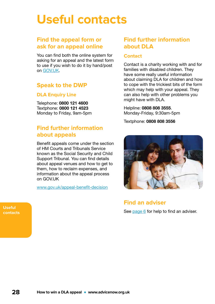# <span id="page-27-0"></span>**Useful contacts**

#### **Find the appeal form or ask for an appeal online**

You can find both the online system for asking for an appeal and the latest form to use if you wish to do it by hand/post on [GOV.UK.](http://www.gov.uk/appeal-benefit-decision/submit-appeal)

#### **Speak to the DWP**

#### **DLA Enquiry Line**

Telephone: 0800 121 4600 Textphone: 0800 121 4523 Monday to Friday, 9am-5pm

#### **Find further information about appeals**

Benefit appeals come under the section of HM Courts and Tribunals Service known as the Social Security and Child Support Tribunal. You can find details about appeal venues and how to get to them, how to reclaim expenses, and information about the appeal process on GOV.UK

[www.gov.uk/appeal-benefit-decision](https://www.gov.uk/appeal-benefit-decision)

#### **Find further information about DLA**

#### **Contact**

Contact is a charity working with and for families with disabled children. They have some really useful information about claiming DLA for children and how to cope with the trickiest bits of the form which may help with your appeal. They can also help with other problems you might have with DLA.

#### Helpline: 0808 808 3555.

Monday-Friday, 9:30am-5pm

Textphone: 0808 808 3556



### **Find an adviser**

See [page 6](#page-5-0) for help to find an adviser.

**Useful contacts**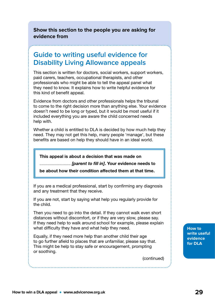<span id="page-28-0"></span>**Show this section to the people you are asking for evidence from**

### **Guide to writing useful evidence for Disability Living Allowance appeals**

This section is written for doctors, social workers, support workers, paid carers, teachers, occupational therapists, and other professionals who might be able to tell the appeal panel what they need to know. It explains how to write helpful evidence for this kind of benefit appeal.

Evidence from doctors and other professionals helps the tribunal to come to the right decision more than anything else. Your evidence doesn't need to be long or typed, but it would be most useful if it included everything you are aware the child concerned needs help with.

Whether a child is entitled to DLA is decided by how much help they need. They may not get this help, many people 'manage', but these benefits are based on help they should have in an ideal world.

This appeal is about a decision that was made on

............................... *[parent to fill in]*. Your evidence needs to

be about how their condition affected them at that time.

If you are a medical professional, start by confirming any diagnosis and any treatment that they receive.

If you are not, start by saying what help you regularly provide for the child.

Then you need to go into the detail. If they cannot walk even short distances without discomfort, or if they are very slow, please say. If they need help to walk around school for example, please explain what difficulty they have and what help they need.

Equally, if they need more help than another child their age to go further afield to places that are unfamiliar, please say that. This might be help to stay safe or encouragement, prompting or soothing.

(continued)

**How to write useful evidence for DLA**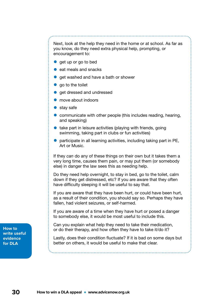<span id="page-29-0"></span>Next, look at the help they need in the home or at school. As far as you know, do they need extra physical help, prompting, or encouragement to:

- get up or go to bed
- eat meals and snacks
- get washed and have a bath or shower
- go to the toilet
- get dressed and undressed
- move about indoors
- $\bullet$  stay safe
- communicate with other people (this includes reading, hearing, and speaking)
- $\bullet$  take part in leisure activities (playing with friends, going swimming, taking part in clubs or fun activities)
- participate in all learning activities, including taking part in PE, Art or Music.

If they *can* do any of these things on their own but it takes them a very long time, causes them pain, or may put them (or somebody else) in danger the law sees this as needing help.

Do they need help overnight, to stay in bed, go to the toilet, calm down if they get distressed, etc? If you are aware that they often have difficulty sleeping it will be useful to say that.

If you are aware that they have been hurt, or could have been hurt, as a result of their condition, you should say so. Perhaps they have fallen, had violent seizures, or self-harmed.

If you are aware of a time when they have hurt or posed a danger to somebody else, it would be most useful to include this.

Can you explain what help they need to take their medication, or do their therapy, and how often they have to take it/do it?

Lastly, does their condition fluctuate? If it is bad on some days but better on others, it would be useful to make that clear.

**How to write useful evidence for DLA**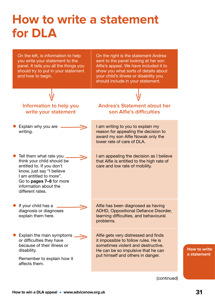# <span id="page-30-0"></span>**How to write a statement for DLA**

On the left, is information to help you write your statement to the panel. It tells you all the things you should try to put in your statement and how to begin.

On the right is the statement Andrea sent to the panel looking at her son Alfie's appeal. We have included it to show you what sorts of details about your child's illness or disability you should include in your statement.

put himself and others in danger.

#### **Information to help you write your statement Andrea's Statement about her son Alfie's difficulties** • Explain why you are writing. I am writing to you to explain my reason for appealing the decision to award my son Alfie Nowak only the lower rate of care of DLA. • Tell them what rate you think your child should be entitled to. If you don't know, just say "I believe I am entitled to more". Go to [pages 7–8](#page-6-0) for more information about the different rates. I am appealing the decision as I believe that Alfie is entitled to the high rate of care and low rate of mobility. **If your child has a** diagnosis or diagnoses explain them here. Alfie has been diagnosed as having ADHD, Oppositional Defiance Disorder, learning difficulties, and behavioural problems. • Explain the main symptoms or difficulties they have because of their illness or disability. Alfie gets very distressed and finds it impossible to follow rules. He is sometimes violent and destructive. He can be so impulsive that he can

**How to write a statement**

(continued)

Remember to explain how it

affects them.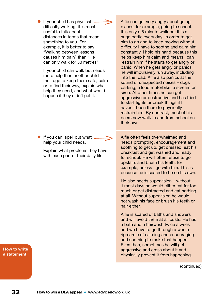• If your child has physical difficulty walking, it is most useful to talk about distances in terms that mean something to you. For example, it is better to say "Walking between lessons causes him pain" than "He can only walk for 50 metres".

If your child can walk but needs more help than another child their age to keep them safe, calm or to find their way, explain what help they need, and what would happen if they didn't get it.

- **•** If you can, spell out what help your child needs.
	- Explain what problems they have with each part of their daily life.

Alfie can get very angry about going places, for example, going to school. It is only a 5 minute walk but it is a huge battle every day. In order to get him to go and to keep moving without difficulty I have to soothe and calm him constantly. I hold his hand because this helps keep him calm and means I can restrain him if he starts to get angry or panic. When he gets angry or panics he will impulsively run away, including into the road. Alfie also panics at the sound of unexpected noises – dogs barking, a loud motorbike, a scream or siren. At other times he can get aggressive or destructive and has tried to start fights or break things if I haven't been there to physically restrain him. By contrast, most of his peers now walk to and from school on their own.

Alfie often feels overwhelmed and needs prompting, encouragement and soothing to get up, get dressed, eat his breakfast and get washed and ready for school. He will often refuse to go upstairs and brush his teeth, for example, unless I go with him. This is because he is scared to be on his own.

He also needs supervision – without it most days he would either eat far too much or get distracted and eat nothing at all. Without supervision he would not wash his face or brush his teeth or hair either.

Alfie is scared of baths and showers and will avoid them at all costs. He has a bath and a hairwash twice a week and we have to go through a whole rigmarole of calming and encouraging and soothing to make that happen. Even then, sometimes he will get aggressive and cross about it and physically prevent it from happening.

(continued)

**How to write a statement**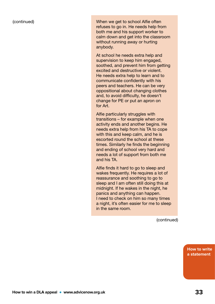(continued) When we get to school Alfie often refuses to go in. He needs help from both me and his support worker to calm down and get into the classroom without running away or hurting anybody.

> At school he needs extra help and supervision to keep him engaged, soothed, and prevent him from getting excited and destructive or violent. He needs extra help to learn and to communicate confidently with his peers and teachers. He can be very oppositional about changing clothes and, to avoid difficulty, he doesn't change for PE or put an apron on for Art.

Alfie particularly struggles with transitions – for example when one activity ends and another begins. He needs extra help from his TA to cope with this and keep calm, and he is escorted round the school at these times. Similarly he finds the beginning and ending of school very hard and needs a lot of support from both me and his TA.

Alfie finds it hard to go to sleep and wakes frequently. He requires a lot of reassurance and soothing to go to sleep and I am often still doing this at midnight. If he wakes in the night, he panics and anything can happen. I need to check on him so many times a night, it's often easier for me to sleep in the same room.

(continued)

**How to write a statement**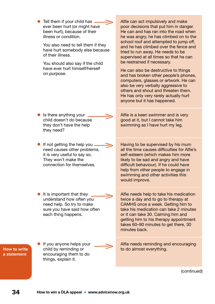|                             | Tell them if your child has<br>ever been hurt (or might have<br>been hurt), because of their<br>illness or condition.<br>You also need to tell them if they<br>have hurt somebody else because<br>of their illness.<br>You should also say if the child<br>have ever hurt himself/herself<br>on purpose. | Alfie can act impulsively and make<br>poor decisions that put him in danger.<br>He can and has ran into the road when<br>he was angry, he has climbed on to the<br>school roof and attempted to jump off,<br>and he has climbed over the fence and<br>tried to run away. He needs to be<br>supervised at all times so that he can<br>be restrained if necessary.<br>He can also be destructive to things<br>and has broken other people's phones,<br>computers, glasses or artwork. He can<br>also be very verbally aggressive to<br>others and shout and threaten them.<br>He has only very rarely actually hurt<br>anyone but it has happened. |
|-----------------------------|----------------------------------------------------------------------------------------------------------------------------------------------------------------------------------------------------------------------------------------------------------------------------------------------------------|--------------------------------------------------------------------------------------------------------------------------------------------------------------------------------------------------------------------------------------------------------------------------------------------------------------------------------------------------------------------------------------------------------------------------------------------------------------------------------------------------------------------------------------------------------------------------------------------------------------------------------------------------|
|                             | Is there anything your<br>child doesn't do because<br>they don't have the help<br>they need?                                                                                                                                                                                                             | Alfie is a keen swimmer and is very<br>good at it, but I cannot take him<br>swimming as I have hurt my leg.                                                                                                                                                                                                                                                                                                                                                                                                                                                                                                                                      |
|                             | If not getting the help you<br>need causes other problems,<br>it is very useful to say so.<br>They won't make the<br>connection for themselves.                                                                                                                                                          | Having to be supervised by his mum<br>all the time causes difficulties for Alfie's<br>self-esteem (which makes him more<br>likely to be sad and angry and have<br>difficult behaviour). If he could have<br>help from other people to engage in<br>swimming and other activities this<br>would improve.                                                                                                                                                                                                                                                                                                                                          |
|                             | It is important that they<br>understand how often you<br>need help. So try to make<br>sure you have said how often<br>each thing happens.                                                                                                                                                                | Alfie needs help to take his medication<br>twice a day and to go to therapy at<br>CAMHS once a week. Getting him to<br>take his medication can take 2 minutes<br>or it can take 30. Calming him and<br>getting him to his therapy appointment<br>takes 60–90 minutes to get there, 30<br>minutes back.                                                                                                                                                                                                                                                                                                                                           |
| How to write<br>a statement | If you anyone helps your<br>child by reminding or<br>encouraging them to do<br>things, explain it.                                                                                                                                                                                                       | Alfie needs reminding and encouraging<br>to do almost everything.                                                                                                                                                                                                                                                                                                                                                                                                                                                                                                                                                                                |
|                             |                                                                                                                                                                                                                                                                                                          | (continued)                                                                                                                                                                                                                                                                                                                                                                                                                                                                                                                                                                                                                                      |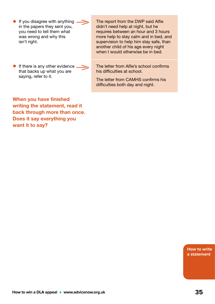- If you disagree with anything in the papers they sent you, you need to tell them what was wrong and why this isn't right.
- **•** If there is any other evidence that backs up what you are saying, refer to it.

The report from the DWP said Alfie didn't need help at night, but he requires between an hour and 3 hours more help to stay calm and in bed, and supervision to help him stay safe, than another child of his age every night when I would otherwise be in bed.

The letter from Alfie's school confirms his difficulties at school.

The letter from CAMHS confirms his difficulties both day and night.

When you have finished writing the statement, read it back through more than once. Does it say everything you want it to say?

> **How to write a statement**